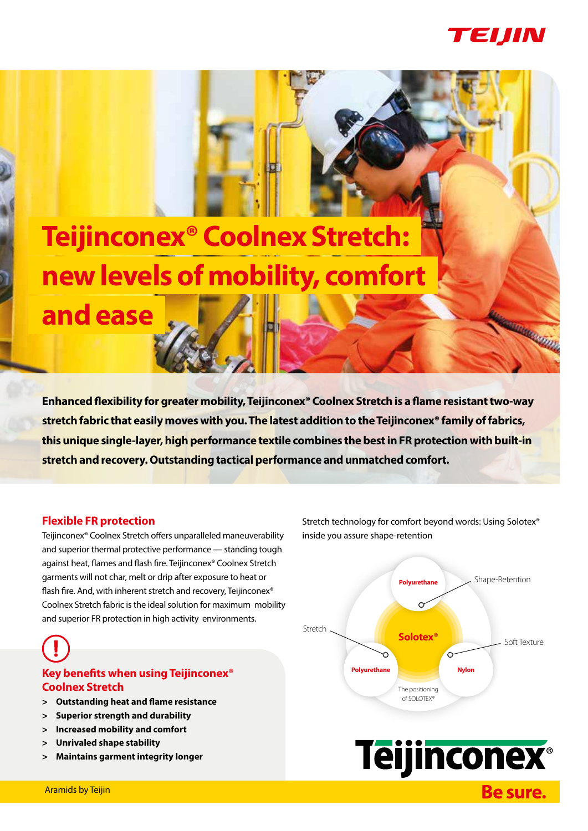

**MARKET REAL** 

# **Teijinconex® Coolnex Stretch: new levels of mobility, comfort and ease**

**Enhanced flexibility for greater mobility, Teijinconex® Coolnex Stretch is a flame resistant two-way stretch fabric that easily moves with you. The latest addition to the Teijinconex® family of fabrics, this unique single-layer, high performance textile combines the best in FR protection with built-in stretch and recovery. Outstanding tactical performance and unmatched comfort.**

#### **Flexible FR protection**

Teijinconex® Coolnex Stretch offers unparalleled maneuverability and superior thermal protective performance — standing tough against heat, flames and flash fire. Teijinconex® Coolnex Stretch garments will not char, melt or drip after exposure to heat or flash fire. And, with inherent stretch and recovery, Teijinconex® Coolnex Stretch fabric is the ideal solution for maximum mobility and superior FR protection in high activity environments.



# **Key benefits when using Teijinconex® Coolnex Stretch**

- **> Outstanding heat and flame resistance**
- **> Superior strength and durability**
- **> Increased mobility and comfort**
- **> Unrivaled shape stability**
- **> Maintains garment integrity longer**

Stretch technology for comfort beyond words: Using Solotex® inside you assure shape-retention